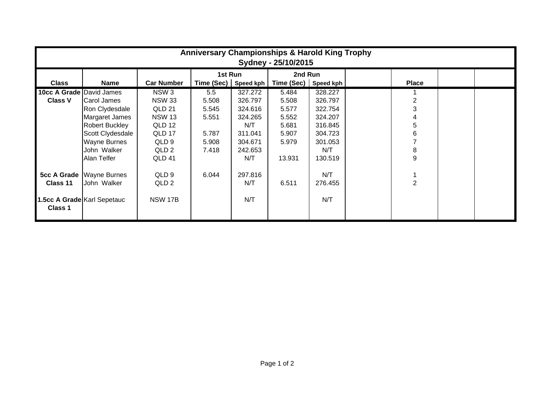| <b>Anniversary Championships &amp; Harold King Trophy</b><br>Sydney - 25/10/2015 |                       |                   |                      |         |            |           |  |                |  |  |
|----------------------------------------------------------------------------------|-----------------------|-------------------|----------------------|---------|------------|-----------|--|----------------|--|--|
|                                                                                  |                       |                   | 1st Run              |         | 2nd Run    |           |  |                |  |  |
| <b>Class</b>                                                                     | <b>Name</b>           | <b>Car Number</b> | Time (Sec) Speed kph |         | Time (Sec) | Speed kph |  | <b>Place</b>   |  |  |
| <b>10cc A Grade David James</b>                                                  |                       | NSW <sub>3</sub>  | 5.5                  | 327.272 | 5.484      | 328.227   |  |                |  |  |
| <b>Class V</b>                                                                   | <b>Carol James</b>    | <b>NSW 33</b>     | 5.508                | 326.797 | 5.508      | 326.797   |  |                |  |  |
|                                                                                  | Ron Clydesdale        | QLD 21            | 5.545                | 324.616 | 5.577      | 322.754   |  | 3              |  |  |
|                                                                                  | Margaret James        | <b>NSW 13</b>     | 5.551                | 324.265 | 5.552      | 324.207   |  |                |  |  |
|                                                                                  | <b>Robert Buckley</b> | QLD 12            |                      | N/T     | 5.681      | 316.845   |  | 5              |  |  |
|                                                                                  | Scott Clydesdale      | QLD 17            | 5.787                | 311.041 | 5.907      | 304.723   |  | 6              |  |  |
|                                                                                  | <b>Wayne Burnes</b>   | QLD 9             | 5.908                | 304.671 | 5.979      | 301.053   |  |                |  |  |
|                                                                                  | John Walker           | QLD <sub>2</sub>  | 7.418                | 242.653 |            | N/T       |  | 8              |  |  |
|                                                                                  | Alan Telfer           | QLD 41            |                      | N/T     | 13.931     | 130.519   |  | 9              |  |  |
| <b>5cc A Grade</b>                                                               | <b>Wayne Burnes</b>   | QLD 9             | 6.044                | 297.816 |            | N/T       |  |                |  |  |
| Class 11                                                                         | John Walker           | QLD 2             |                      | N/T     | 6.511      | 276.455   |  | $\mathfrak{p}$ |  |  |
| 1.5cc A Grade Karl Sepetauc<br>Class 1                                           |                       | <b>NSW 17B</b>    |                      | N/T     |            | N/T       |  |                |  |  |